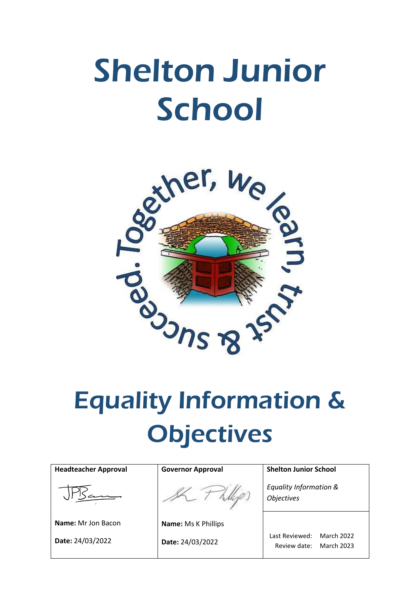# Shelton Junior **School**



# **Objectives**

| <b>Headteacher Approval</b> | <b>Governor Approval</b>   | <b>Shelton Junior School</b>                                             |
|-----------------------------|----------------------------|--------------------------------------------------------------------------|
|                             |                            | Equality Information &<br><b>Objectives</b>                              |
| Name: Mr Jon Bacon          | <b>Name: Ms K Phillips</b> |                                                                          |
| Date: 24/03/2022            | Date: 24/03/2022           | <b>March 2022</b><br>Last Reviewed:<br><b>March 2023</b><br>Review date: |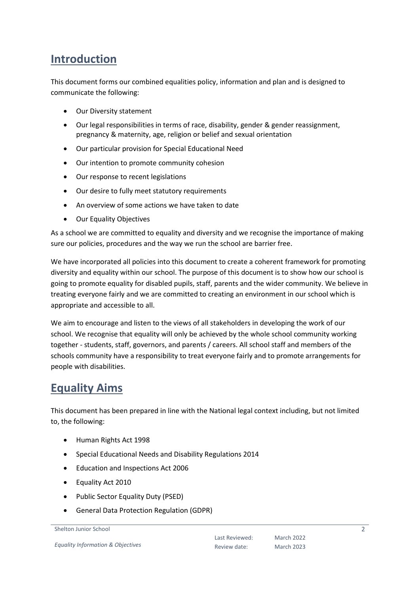# **Introduction**

This document forms our combined equalities policy, information and plan and is designed to communicate the following:

- Our Diversity statement
- Our legal responsibilities in terms of race, disability, gender & gender reassignment, pregnancy & maternity, age, religion or belief and sexual orientation
- Our particular provision for Special Educational Need
- Our intention to promote community cohesion
- Our response to recent legislations
- Our desire to fully meet statutory requirements
- An overview of some actions we have taken to date
- Our Equality Objectives

As a school we are committed to equality and diversity and we recognise the importance of making sure our policies, procedures and the way we run the school are barrier free.

We have incorporated all policies into this document to create a coherent framework for promoting diversity and equality within our school. The purpose of this document is to show how our school is going to promote equality for disabled pupils, staff, parents and the wider community. We believe in treating everyone fairly and we are committed to creating an environment in our school which is appropriate and accessible to all.

We aim to encourage and listen to the views of all stakeholders in developing the work of our school. We recognise that equality will only be achieved by the whole school community working together - students, staff, governors, and parents / careers. All school staff and members of the schools community have a responsibility to treat everyone fairly and to promote arrangements for people with disabilities.

# **Equality Aims**

This document has been prepared in line with the National legal context including, but not limited to, the following:

- Human Rights Act 1998
- Special Educational Needs and Disability Regulations 2014
- Education and Inspections Act 2006
- Equality Act 2010
- Public Sector Equality Duty (PSED)
- General Data Protection Regulation (GDPR)

```
Shelton Junior School
```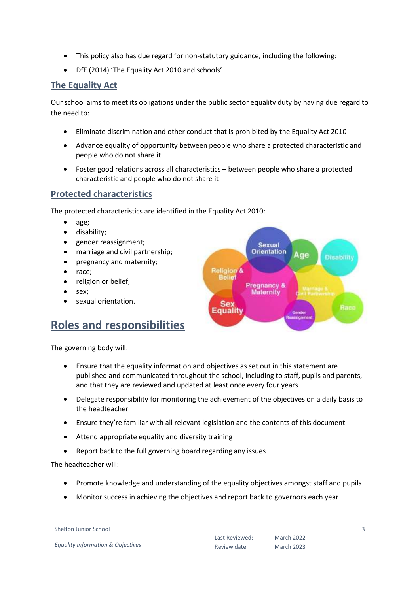- This policy also has due regard for non-statutory guidance, including the following:
- DfE (2014) 'The Equality Act 2010 and schools'

# **The Equality Act**

Our school aims to meet its obligations under the public sector equality duty by having due regard to the need to:

- Eliminate discrimination and other conduct that is prohibited by the Equality Act 2010
- Advance equality of opportunity between people who share a protected characteristic and people who do not share it
- Foster good relations across all characteristics between people who share a protected characteristic and people who do not share it

# **Protected characteristics**

The protected characteristics are identified in the Equality Act 2010:

- age;
- disability;
- gender reassignment;
- marriage and civil partnership;
- pregnancy and maternity;
- race;
- religion or belief;
- sex;
- sexual orientation.

# **Roles and responsibilities**

The governing body will:

- Ensure that the equality information and objectives as set out in this statement are published and communicated throughout the school, including to staff, pupils and parents, and that they are reviewed and updated at least once every four years
- Delegate responsibility for monitoring the achievement of the objectives on a daily basis to the headteacher
- Ensure they're familiar with all relevant legislation and the contents of this document
- Attend appropriate equality and diversity training
- Report back to the full governing board regarding any issues

The headteacher will:

- Promote knowledge and understanding of the equality objectives amongst staff and pupils
- Monitor success in achieving the objectives and report back to governors each year

Last Reviewed: Review date:



Shelton Junior School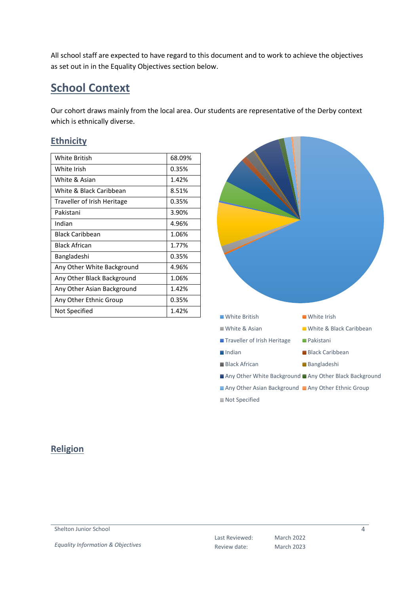All school staff are expected to have regard to this document and to work to achieve the objectives as set out in in the Equality Objectives section below.

# **School Context**

Our cohort draws mainly from the local area. Our students are representative of the Derby context which is ethnically diverse.

# **Ethnicity**

| <b>White British</b>        | 68.09% |
|-----------------------------|--------|
| White Irish                 | 0.35%  |
| White & Asian               | 1.42%  |
| White & Black Caribbean     | 8.51%  |
| Traveller of Irish Heritage | 0.35%  |
| Pakistani                   | 3.90%  |
| Indian                      | 4.96%  |
| <b>Black Caribbean</b>      | 1.06%  |
| <b>Black African</b>        | 1.77%  |
| Bangladeshi                 | 0.35%  |
| Any Other White Background  | 4.96%  |
| Any Other Black Background  | 1.06%  |
| Any Other Asian Background  | 1.42%  |
| Any Other Ethnic Group      | 0.35%  |
| Not Specified               | 1.42%  |



# **Religion**

Shelton Junior School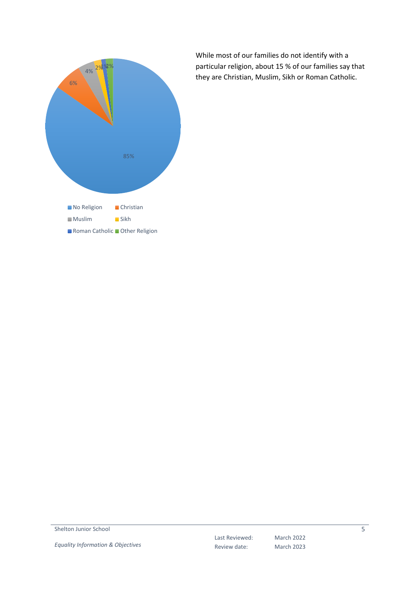

While most of our families do not identify with a particular religion, about 15 % of our families say that they are Christian, Muslim, Sikh or Roman Catholic.

Shelton Junior School

*Equality Information & Objectives*

Last Reviewed: Review date:

March 2022 March 2023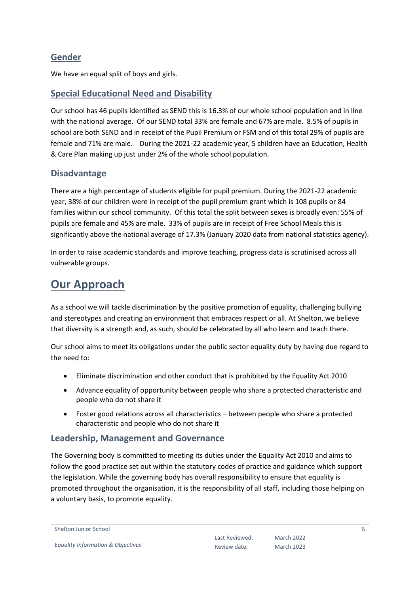# **Gender**

We have an equal split of boys and girls.

# **Special Educational Need and Disability**

Our school has 46 pupils identified as SEND this is 16.3% of our whole school population and in line with the national average. Of our SEND total 33% are female and 67% are male. 8.5% of pupils in school are both SEND and in receipt of the Pupil Premium or FSM and of this total 29% of pupils are female and 71% are male. During the 2021-22 academic year, 5 children have an Education, Health & Care Plan making up just under 2% of the whole school population.

# **Disadvantage**

There are a high percentage of students eligible for pupil premium. During the 2021-22 academic year, 38% of our children were in receipt of the pupil premium grant which is 108 pupils or 84 families within our school community. Of this total the split between sexes is broadly even: 55% of pupils are female and 45% are male. 33% of pupils are in receipt of Free School Meals this is significantly above the national average of 17.3% (January 2020 data from national statistics agency).

In order to raise academic standards and improve teaching, progress data is scrutinised across all vulnerable groups.

# **Our Approach**

As a school we will tackle discrimination by the positive promotion of equality, challenging bullying and stereotypes and creating an environment that embraces respect or all. At Shelton, we believe that diversity is a strength and, as such, should be celebrated by all who learn and teach there.

Our school aims to meet its obligations under the public sector equality duty by having due regard to the need to:

- Eliminate discrimination and other conduct that is prohibited by the Equality Act 2010
- Advance equality of opportunity between people who share a protected characteristic and people who do not share it
- Foster good relations across all characteristics between people who share a protected characteristic and people who do not share it

# **Leadership, Management and Governance**

The Governing body is committed to meeting its duties under the Equality Act 2010 and aims to follow the good practice set out within the statutory codes of practice and guidance which support the legislation. While the governing body has overall responsibility to ensure that equality is promoted throughout the organisation, it is the responsibility of all staff, including those helping on a voluntary basis, to promote equality.

```
Shelton Junior School
```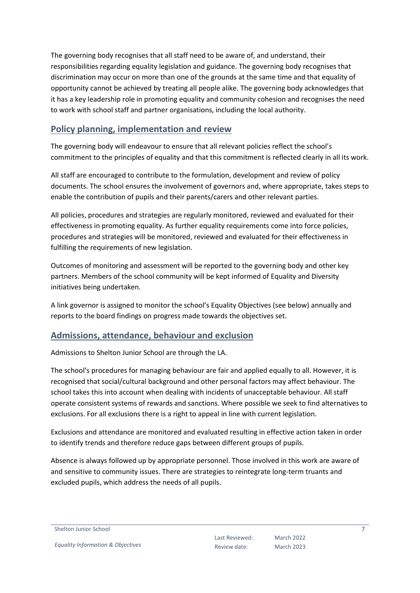The governing body recognises that all staff need to be aware of, and understand, their responsibilities regarding equality legislation and guidance. The governing body recognises that discrimination may occur on more than one of the grounds at the same time and that equality of opportunity cannot be achieved by treating all people alike. The governing body acknowledges that it has a key leadership role in promoting equality and community cohesion and recognises the need to work with school staff and partner organisations, including the local authority.

# **Policy planning, implementation and review**

The governing body will endeavour to ensure that all relevant policies reflect the school's commitment to the principles of equality and that this commitment is reflected clearly in all its work.

All staff are encouraged to contribute to the formulation, development and review of policy documents. The school ensures the involvement of governors and, where appropriate, takes steps to enable the contribution of pupils and their parents/carers and other relevant parties.

All policies, procedures and strategies are regularly monitored, reviewed and evaluated for their effectiveness in promoting equality. As further equality requirements come into force policies, procedures and strategies will be monitored, reviewed and evaluated for their effectiveness in fulfilling the requirements of new legislation.

Outcomes of monitoring and assessment will be reported to the governing body and other key partners. Members of the school community will be kept informed of Equality and Diversity initiatives being undertaken.

A link governor is assigned to monitor the school's Equality Objectives (see below) annually and reports to the board findings on progress made towards the objectives set.

# **Admissions, attendance, behaviour and exclusion**

Admissions to Shelton Junior School are through the LA.

The school's procedures for managing behaviour are fair and applied equally to all. However, it is recognised that social/cultural background and other personal factors may affect behaviour. The school takes this into account when dealing with incidents of unacceptable behaviour. All staff operate consistent systems of rewards and sanctions. Where possible we seek to find alternatives to exclusions. For all exclusions there is a right to appeal in line with current legislation.

Exclusions and attendance are monitored and evaluated resulting in effective action taken in order to identify trends and therefore reduce gaps between different groups of pupils.

Absence is always followed up by appropriate personnel. Those involved in this work are aware of and sensitive to community issues. There are strategies to reintegrate long-term truants and excluded pupils, which address the needs of all pupils.

Shelton Junior School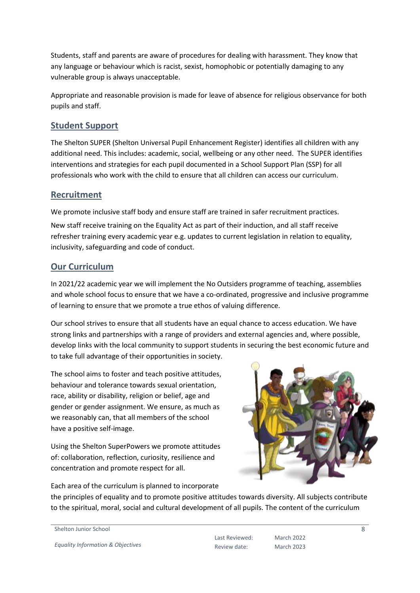Students, staff and parents are aware of procedures for dealing with harassment. They know that any language or behaviour which is racist, sexist, homophobic or potentially damaging to any vulnerable group is always unacceptable.

Appropriate and reasonable provision is made for leave of absence for religious observance for both pupils and staff.

# **Student Support**

The Shelton SUPER (Shelton Universal Pupil Enhancement Register) identifies all children with any additional need. This includes: academic, social, wellbeing or any other need. The SUPER identifies interventions and strategies for each pupil documented in a School Support Plan (SSP) for all professionals who work with the child to ensure that all children can access our curriculum.

# **Recruitment**

We promote inclusive staff body and ensure staff are trained in safer recruitment practices.

New staff receive training on the Equality Act as part of their induction, and all staff receive refresher training every academic year e.g. updates to current legislation in relation to equality, inclusivity, safeguarding and code of conduct.

# **Our Curriculum**

In 2021/22 academic year we will implement the No Outsiders programme of teaching, assemblies and whole school focus to ensure that we have a co-ordinated, progressive and inclusive programme of learning to ensure that we promote a true ethos of valuing difference.

Our school strives to ensure that all students have an equal chance to access education. We have strong links and partnerships with a range of providers and external agencies and, where possible, develop links with the local community to support students in securing the best economic future and to take full advantage of their opportunities in society.

The school aims to foster and teach positive attitudes, behaviour and tolerance towards sexual orientation, race, ability or disability, religion or belief, age and gender or gender assignment. We ensure, as much as we reasonably can, that all members of the school have a positive self-image.

Using the Shelton SuperPowers we promote attitudes of: collaboration, reflection, curiosity, resilience and concentration and promote respect for all.

Each area of the curriculum is planned to incorporate



the principles of equality and to promote positive attitudes towards diversity. All subjects contribute to the spiritual, moral, social and cultural development of all pupils. The content of the curriculum

```
Shelton Junior School
```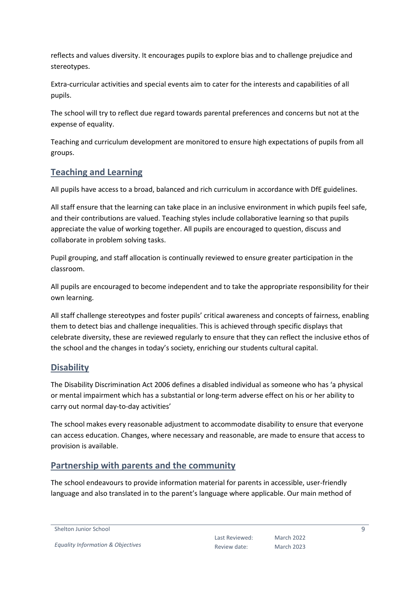reflects and values diversity. It encourages pupils to explore bias and to challenge prejudice and stereotypes.

Extra-curricular activities and special events aim to cater for the interests and capabilities of all pupils.

The school will try to reflect due regard towards parental preferences and concerns but not at the expense of equality.

Teaching and curriculum development are monitored to ensure high expectations of pupils from all groups.

# **Teaching and Learning**

All pupils have access to a broad, balanced and rich curriculum in accordance with DfE guidelines.

All staff ensure that the learning can take place in an inclusive environment in which pupils feel safe, and their contributions are valued. Teaching styles include collaborative learning so that pupils appreciate the value of working together. All pupils are encouraged to question, discuss and collaborate in problem solving tasks.

Pupil grouping, and staff allocation is continually reviewed to ensure greater participation in the classroom.

All pupils are encouraged to become independent and to take the appropriate responsibility for their own learning.

All staff challenge stereotypes and foster pupils' critical awareness and concepts of fairness, enabling them to detect bias and challenge inequalities. This is achieved through specific displays that celebrate diversity, these are reviewed regularly to ensure that they can reflect the inclusive ethos of the school and the changes in today's society, enriching our students cultural capital.

# **Disability**

The Disability Discrimination Act 2006 defines a disabled individual as someone who has 'a physical or mental impairment which has a substantial or long-term adverse effect on his or her ability to carry out normal day-to-day activities'

The school makes every reasonable adjustment to accommodate disability to ensure that everyone can access education. Changes, where necessary and reasonable, are made to ensure that access to provision is available.

# **Partnership with parents and the community**

The school endeavours to provide information material for parents in accessible, user-friendly language and also translated in to the parent's language where applicable. Our main method of

Shelton Junior School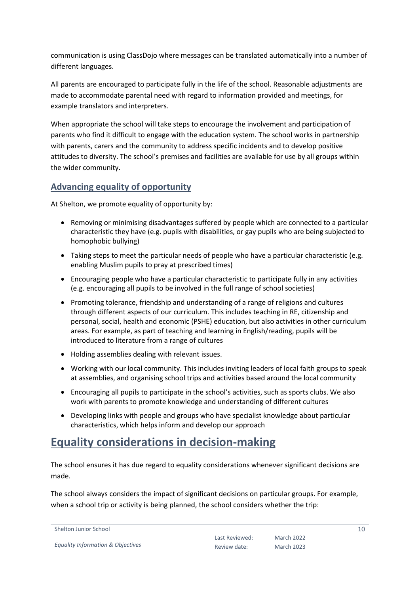communication is using ClassDojo where messages can be translated automatically into a number of different languages.

All parents are encouraged to participate fully in the life of the school. Reasonable adjustments are made to accommodate parental need with regard to information provided and meetings, for example translators and interpreters.

When appropriate the school will take steps to encourage the involvement and participation of parents who find it difficult to engage with the education system. The school works in partnership with parents, carers and the community to address specific incidents and to develop positive attitudes to diversity. The school's premises and facilities are available for use by all groups within the wider community.

# **Advancing equality of opportunity**

At Shelton, we promote equality of opportunity by:

- Removing or minimising disadvantages suffered by people which are connected to a particular characteristic they have (e.g. pupils with disabilities, or gay pupils who are being subjected to homophobic bullying)
- Taking steps to meet the particular needs of people who have a particular characteristic (e.g. enabling Muslim pupils to pray at prescribed times)
- Encouraging people who have a particular characteristic to participate fully in any activities (e.g. encouraging all pupils to be involved in the full range of school societies)
- Promoting tolerance, friendship and understanding of a range of religions and cultures through different aspects of our curriculum. This includes teaching in RE, citizenship and personal, social, health and economic (PSHE) education, but also activities in other curriculum areas. For example, as part of teaching and learning in English/reading, pupils will be introduced to literature from a range of cultures
- Holding assemblies dealing with relevant issues.
- Working with our local community. This includes inviting leaders of local faith groups to speak at assemblies, and organising school trips and activities based around the local community
- Encouraging all pupils to participate in the school's activities, such as sports clubs. We also work with parents to promote knowledge and understanding of different cultures
- Developing links with people and groups who have specialist knowledge about particular characteristics, which helps inform and develop our approach

# **Equality considerations in decision-making**

The school ensures it has due regard to equality considerations whenever significant decisions are made.

The school always considers the impact of significant decisions on particular groups. For example, when a school trip or activity is being planned, the school considers whether the trip: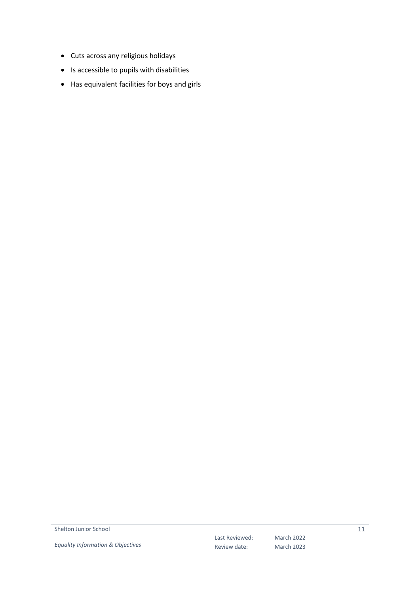- Cuts across any religious holidays
- Is accessible to pupils with disabilities
- Has equivalent facilities for boys and girls

Shelton Junior School

*Equality Information & Objectives*

Last Reviewed: Review date:

March 2022 March 2023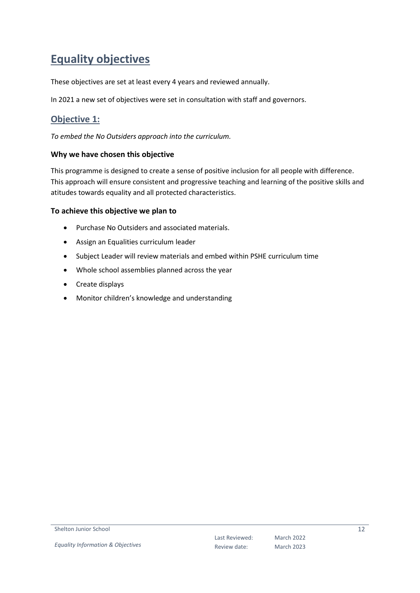# **Equality objectives**

These objectives are set at least every 4 years and reviewed annually.

In 2021 a new set of objectives were set in consultation with staff and governors.

# **Objective 1:**

*To embed the No Outsiders approach into the curriculum.*

#### **Why we have chosen this objective**

This programme is designed to create a sense of positive inclusion for all people with difference. This approach will ensure consistent and progressive teaching and learning of the positive skills and atitudes towards equality and all protected characteristics.

#### **To achieve this objective we plan to**

- Purchase No Outsiders and associated materials.
- Assign an Equalities curriculum leader
- Subject Leader will review materials and embed within PSHE curriculum time
- Whole school assemblies planned across the year
- Create displays
- Monitor children's knowledge and understanding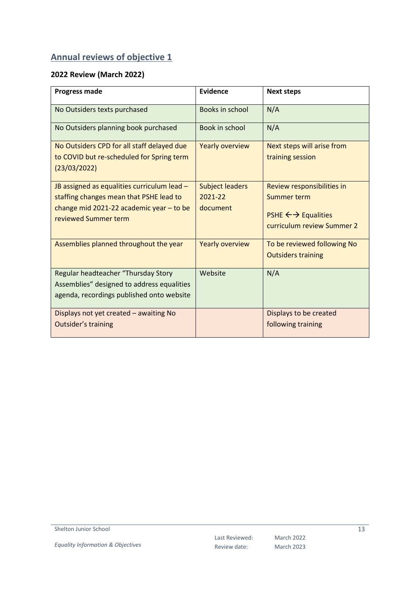# **Annual reviews of objective 1**

# **2022 Review (March 2022)**

| <b>Progress made</b>                                                                                                                                         | Evidence                                      | <b>Next steps</b>                                                                                     |
|--------------------------------------------------------------------------------------------------------------------------------------------------------------|-----------------------------------------------|-------------------------------------------------------------------------------------------------------|
| No Outsiders texts purchased                                                                                                                                 | Books in school                               | N/A                                                                                                   |
| No Outsiders planning book purchased                                                                                                                         | Book in school                                | N/A                                                                                                   |
| No Outsiders CPD for all staff delayed due<br>to COVID but re-scheduled for Spring term<br>(23/03/2022)                                                      | <b>Yearly overview</b>                        | Next steps will arise from<br>training session                                                        |
| JB assigned as equalities curriculum lead -<br>staffing changes mean that PSHE lead to<br>change mid 2021-22 academic year $-$ to be<br>reviewed Summer term | <b>Subject leaders</b><br>2021-22<br>document | Review responsibilities in<br>Summer term<br><b>PSHE ← → Equalities</b><br>curriculum review Summer 2 |
| Assemblies planned throughout the year                                                                                                                       | <b>Yearly overview</b>                        | To be reviewed following No<br><b>Outsiders training</b>                                              |
| Regular headteacher "Thursday Story<br>Assemblies" designed to address equalities<br>agenda, recordings published onto website                               | Website                                       | N/A                                                                                                   |
| Displays not yet created - awaiting No<br>Outsider's training                                                                                                |                                               | Displays to be created<br>following training                                                          |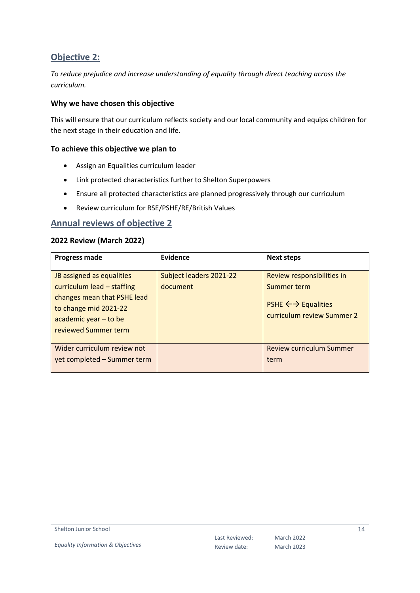# **Objective 2:**

*To reduce prejudice and increase understanding of equality through direct teaching across the curriculum.*

### **Why we have chosen this objective**

This will ensure that our curriculum reflects society and our local community and equips children for the next stage in their education and life.

#### **To achieve this objective we plan to**

- Assign an Equalities curriculum leader
- Link protected characteristics further to Shelton Superpowers
- Ensure all protected characteristics are planned progressively through our curriculum
- Review curriculum for RSE/PSHE/RE/British Values

#### **Annual reviews of objective 2**

#### **2022 Review (March 2022)**

| <b>Progress made</b>        | Evidence                | <b>Next steps</b>               |  |  |
|-----------------------------|-------------------------|---------------------------------|--|--|
|                             |                         |                                 |  |  |
| JB assigned as equalities   | Subject leaders 2021-22 | Review responsibilities in      |  |  |
| curriculum lead - staffing  | document                | Summer term                     |  |  |
| changes mean that PSHE lead |                         |                                 |  |  |
| to change mid 2021-22       |                         | <b>PSHE ← → Equalities</b>      |  |  |
| academic year - to be       |                         | curriculum review Summer 2      |  |  |
| reviewed Summer term        |                         |                                 |  |  |
|                             |                         |                                 |  |  |
| Wider curriculum review not |                         | <b>Review curriculum Summer</b> |  |  |
| yet completed - Summer term |                         | term                            |  |  |
|                             |                         |                                 |  |  |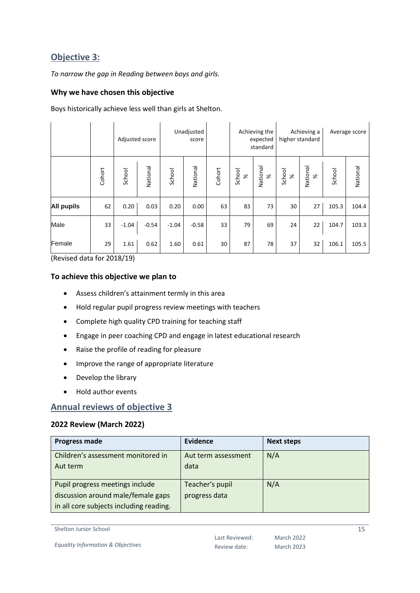# **Objective 3:**

*To narrow the gap in Reading between boys and girls.*

### **Why we have chosen this objective**

Boys historically achieve less well than girls at Shelton.

 $\overline{1}$ 

|                   |        | Adjusted score |          | Unadjusted<br>score |          |        | Achieving the<br>expected<br>standard |                      | Achieving a<br>higher standard |                | Average score |          |
|-------------------|--------|----------------|----------|---------------------|----------|--------|---------------------------------------|----------------------|--------------------------------|----------------|---------------|----------|
|                   | Cohort | School         | Vational | School              | National | Cohort | School<br>%                           | National<br>$\aleph$ | School<br>$\aleph$             | National<br>Se | School        | National |
| <b>All pupils</b> | 62     | 0.20           | 0.03     | 0.20                | 0.00     | 63     | 83                                    | 73                   | 30                             | 27             | 105.3         | 104.4    |
| Male              | 33     | $-1.04$        | $-0.54$  | $-1.04$             | $-0.58$  | 33     | 79                                    | 69                   | 24                             | 22             | 104.7         | 103.3    |
| Female            | 29     | 1.61           | 0.62     | 1.60                | 0.61     | 30     | 87                                    | 78                   | 37                             | 32             | 106.1         | 105.5    |

(Revised data for 2018/19)

#### **To achieve this objective we plan to**

- Assess children's attainment termly in this area
- Hold regular pupil progress review meetings with teachers
- Complete high quality CPD training for teaching staff
- Engage in peer coaching CPD and engage in latest educational research
- Raise the profile of reading for pleasure
- Improve the range of appropriate literature
- Develop the library
- Hold author events

# **Annual reviews of objective 3**

#### **2022 Review (March 2022)**

| <b>Progress made</b>                    | Evidence            | <b>Next steps</b> |
|-----------------------------------------|---------------------|-------------------|
| Children's assessment monitored in      | Aut term assessment | N/A               |
| Aut term                                | data                |                   |
|                                         |                     |                   |
| Pupil progress meetings include         | Teacher's pupil     | N/A               |
| discussion around male/female gaps      | progress data       |                   |
| in all core subjects including reading. |                     |                   |

Shelton Junior School

*Equality Information & Objectives*